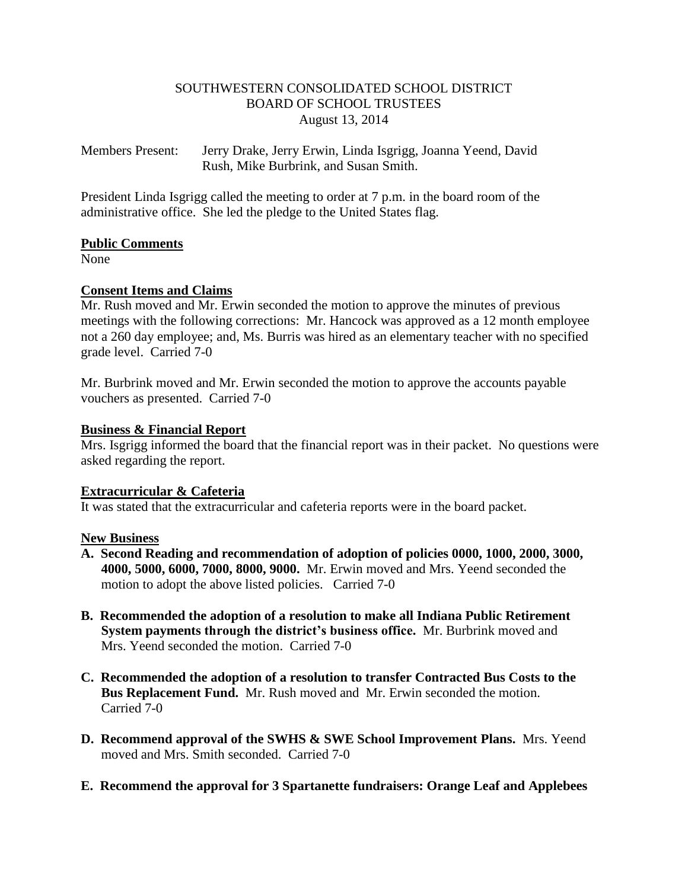## SOUTHWESTERN CONSOLIDATED SCHOOL DISTRICT BOARD OF SCHOOL TRUSTEES August 13, 2014

Members Present: Jerry Drake, Jerry Erwin, Linda Isgrigg, Joanna Yeend, David Rush, Mike Burbrink, and Susan Smith.

President Linda Isgrigg called the meeting to order at 7 p.m. in the board room of the administrative office. She led the pledge to the United States flag.

## **Public Comments**

None

# **Consent Items and Claims**

Mr. Rush moved and Mr. Erwin seconded the motion to approve the minutes of previous meetings with the following corrections: Mr. Hancock was approved as a 12 month employee not a 260 day employee; and, Ms. Burris was hired as an elementary teacher with no specified grade level. Carried 7-0

Mr. Burbrink moved and Mr. Erwin seconded the motion to approve the accounts payable vouchers as presented. Carried 7-0

## **Business & Financial Report**

Mrs. Isgrigg informed the board that the financial report was in their packet. No questions were asked regarding the report.

## **Extracurricular & Cafeteria**

It was stated that the extracurricular and cafeteria reports were in the board packet.

## **New Business**

- **A. Second Reading and recommendation of adoption of policies 0000, 1000, 2000, 3000, 4000, 5000, 6000, 7000, 8000, 9000.** Mr. Erwin moved and Mrs. Yeend seconded the motion to adopt the above listed policies. Carried 7-0
- **B. Recommended the adoption of a resolution to make all Indiana Public Retirement System payments through the district's business office.** Mr. Burbrink moved and Mrs. Yeend seconded the motion. Carried 7-0
- **C. Recommended the adoption of a resolution to transfer Contracted Bus Costs to the Bus Replacement Fund.** Mr. Rush moved and Mr. Erwin seconded the motion. Carried 7-0
- **D. Recommend approval of the SWHS & SWE School Improvement Plans.** Mrs. Yeend moved and Mrs. Smith seconded. Carried 7-0
- **E. Recommend the approval for 3 Spartanette fundraisers: Orange Leaf and Applebees**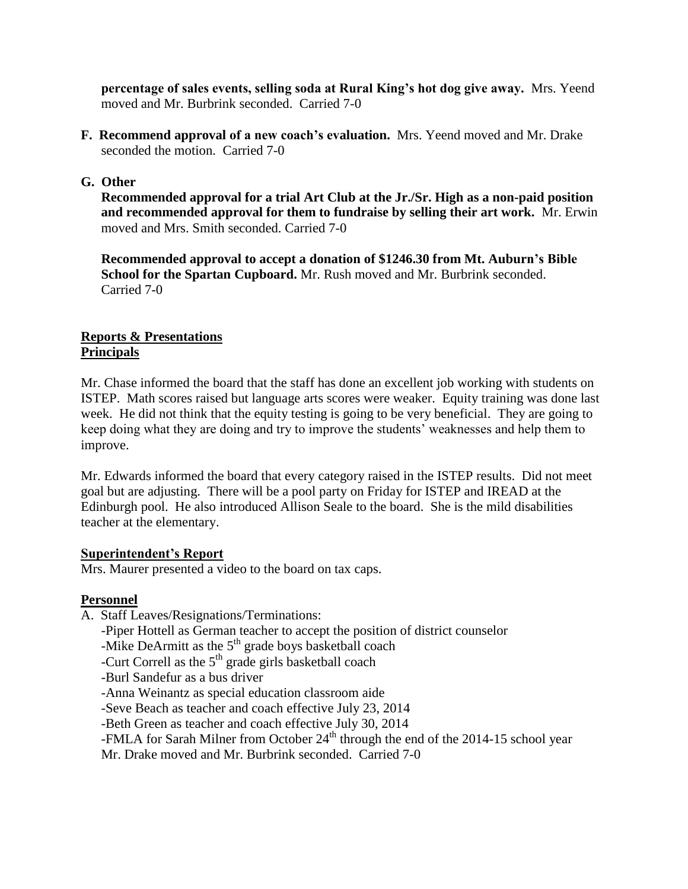**percentage of sales events, selling soda at Rural King's hot dog give away.** Mrs. Yeend moved and Mr. Burbrink seconded. Carried 7-0

**F. Recommend approval of a new coach's evaluation.** Mrs. Yeend moved and Mr. Drake seconded the motion. Carried 7-0

## **G. Other**

 **Recommended approval for a trial Art Club at the Jr./Sr. High as a non-paid position and recommended approval for them to fundraise by selling their art work.** Mr. Erwin moved and Mrs. Smith seconded. Carried 7-0

 **Recommended approval to accept a donation of \$1246.30 from Mt. Auburn's Bible School for the Spartan Cupboard.** Mr. Rush moved and Mr. Burbrink seconded. Carried 7-0

## **Reports & Presentations Principals**

Mr. Chase informed the board that the staff has done an excellent job working with students on ISTEP. Math scores raised but language arts scores were weaker. Equity training was done last week. He did not think that the equity testing is going to be very beneficial. They are going to keep doing what they are doing and try to improve the students' weaknesses and help them to improve.

Mr. Edwards informed the board that every category raised in the ISTEP results. Did not meet goal but are adjusting. There will be a pool party on Friday for ISTEP and IREAD at the Edinburgh pool. He also introduced Allison Seale to the board. She is the mild disabilities teacher at the elementary.

## **Superintendent's Report**

Mrs. Maurer presented a video to the board on tax caps.

# **Personnel**

- A. Staff Leaves/Resignations/Terminations:
	- -Piper Hottell as German teacher to accept the position of district counselor
	- -Mike DeArmitt as the  $5<sup>th</sup>$  grade boys basketball coach
	- -Curt Correll as the  $5<sup>th</sup>$  grade girls basketball coach
	- -Burl Sandefur as a bus driver
	- -Anna Weinantz as special education classroom aide
	- -Seve Beach as teacher and coach effective July 23, 2014

-Beth Green as teacher and coach effective July 30, 2014

-FMLA for Sarah Milner from October  $24<sup>th</sup>$  through the end of the 2014-15 school year

Mr. Drake moved and Mr. Burbrink seconded. Carried 7-0